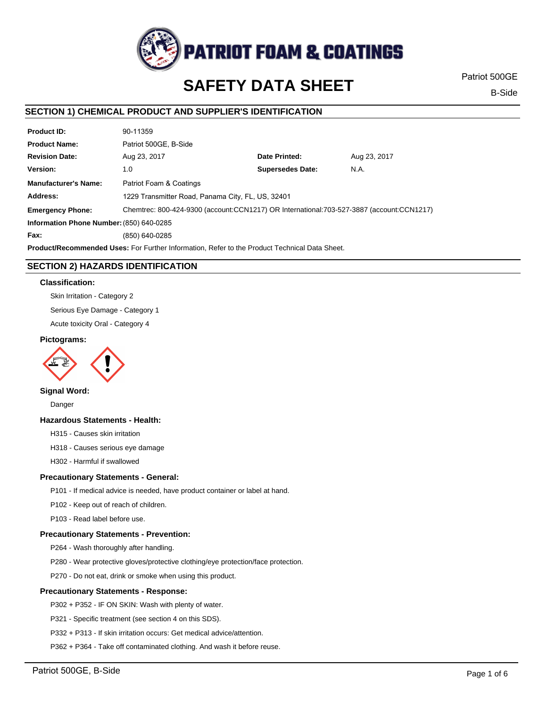

# **SAFETY DATA SHEET**

Patriot 500GE

B-Side

# **SECTION 1) CHEMICAL PRODUCT AND SUPPLIER'S IDENTIFICATION**

| <b>Product ID:</b>                                                                                   | 90-11359                                                                                 |                         |              |  |
|------------------------------------------------------------------------------------------------------|------------------------------------------------------------------------------------------|-------------------------|--------------|--|
| <b>Product Name:</b>                                                                                 | Patriot 500GE, B-Side                                                                    |                         |              |  |
| <b>Revision Date:</b>                                                                                | Aug 23, 2017                                                                             | Date Printed:           | Aug 23, 2017 |  |
| Version:                                                                                             | 1.0                                                                                      | <b>Supersedes Date:</b> | N.A.         |  |
| <b>Manufacturer's Name:</b>                                                                          | Patriot Foam & Coatings                                                                  |                         |              |  |
| Address:                                                                                             | 1229 Transmitter Road, Panama City, FL, US, 32401                                        |                         |              |  |
| <b>Emergency Phone:</b>                                                                              | Chemtrec: 800-424-9300 (account:CCN1217) OR International:703-527-3887 (account:CCN1217) |                         |              |  |
| Information Phone Number: (850) 640-0285                                                             |                                                                                          |                         |              |  |
| Fax:                                                                                                 | (850) 640-0285                                                                           |                         |              |  |
| <b>Product/Recommended Uses:</b> For Further Information, Refer to the Product Technical Data Sheet. |                                                                                          |                         |              |  |

# **SECTION 2) HAZARDS IDENTIFICATION**

## **Classification:**

Skin Irritation - Category 2

Serious Eye Damage - Category 1

Acute toxicity Oral - Category 4

## **Pictograms:**



# **Signal Word:**

Danger

## **Hazardous Statements - Health:**

H315 - Causes skin irritation

H318 - Causes serious eye damage

H302 - Harmful if swallowed

## **Precautionary Statements - General:**

P101 - If medical advice is needed, have product container or label at hand.

P102 - Keep out of reach of children.

P103 - Read label before use.

## **Precautionary Statements - Prevention:**

P264 - Wash thoroughly after handling.

P280 - Wear protective gloves/protective clothing/eye protection/face protection.

P270 - Do not eat, drink or smoke when using this product.

## **Precautionary Statements - Response:**

P302 + P352 - IF ON SKIN: Wash with plenty of water.

P321 - Specific treatment (see section 4 on this SDS).

P332 + P313 - If skin irritation occurs: Get medical advice/attention.

P362 + P364 - Take off contaminated clothing. And wash it before reuse.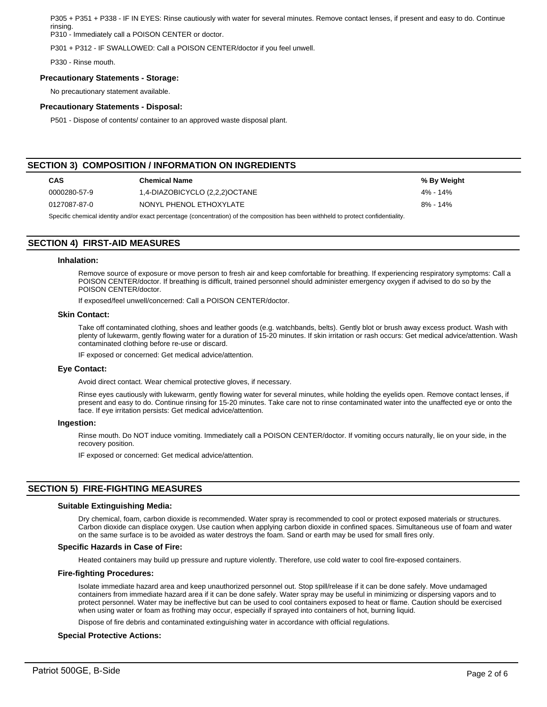P305 + P351 + P338 - IF IN EYES: Rinse cautiously with water for several minutes. Remove contact lenses, if present and easy to do. Continue rinsing.

P310 - Immediately call a POISON CENTER or doctor.

P301 + P312 - IF SWALLOWED: Call a POISON CENTER/doctor if you feel unwell.

P330 - Rinse mouth.

#### **Precautionary Statements - Storage:**

No precautionary statement available.

#### **Precautionary Statements - Disposal:**

P501 - Dispose of contents/ container to an approved waste disposal plant.

# **SECTION 3) COMPOSITION / INFORMATION ON INGREDIENTS**

| <b>CAS</b>   | <b>Chemical Name</b>           | % By Weight |
|--------------|--------------------------------|-------------|
| 0000280-57-9 | 1,4-DIAZOBICYCLO (2,2,2)OCTANE | 4% - 14%    |
| 0127087-87-0 | NONYL PHENOL ETHOXYLATE        | 8% - 14%    |

Specific chemical identity and/or exact percentage (concentration) of the composition has been withheld to protect confidentiality.

# **SECTION 4) FIRST-AID MEASURES**

#### **Inhalation:**

Remove source of exposure or move person to fresh air and keep comfortable for breathing. If experiencing respiratory symptoms: Call a POISON CENTER/doctor. If breathing is difficult, trained personnel should administer emergency oxygen if advised to do so by the POISON CENTER/doctor.

If exposed/feel unwell/concerned: Call a POISON CENTER/doctor.

## **Skin Contact:**

Take off contaminated clothing, shoes and leather goods (e.g. watchbands, belts). Gently blot or brush away excess product. Wash with plenty of lukewarm, gently flowing water for a duration of 15-20 minutes. If skin irritation or rash occurs: Get medical advice/attention. Wash contaminated clothing before re-use or discard.

IF exposed or concerned: Get medical advice/attention.

#### **Eye Contact:**

Avoid direct contact. Wear chemical protective gloves, if necessary.

Rinse eyes cautiously with lukewarm, gently flowing water for several minutes, while holding the eyelids open. Remove contact lenses, if present and easy to do. Continue rinsing for 15-20 minutes. Take care not to rinse contaminated water into the unaffected eye or onto the face. If eye irritation persists: Get medical advice/attention.

#### **Ingestion:**

Rinse mouth. Do NOT induce vomiting. Immediately call a POISON CENTER/doctor. If vomiting occurs naturally, lie on your side, in the recovery position.

IF exposed or concerned: Get medical advice/attention.

# **SECTION 5) FIRE-FIGHTING MEASURES**

## **Suitable Extinguishing Media:**

Dry chemical, foam, carbon dioxide is recommended. Water spray is recommended to cool or protect exposed materials or structures. Carbon dioxide can displace oxygen. Use caution when applying carbon dioxide in confined spaces. Simultaneous use of foam and water on the same surface is to be avoided as water destroys the foam. Sand or earth may be used for small fires only.

## **Specific Hazards in Case of Fire:**

Heated containers may build up pressure and rupture violently. Therefore, use cold water to cool fire-exposed containers.

## **Fire-fighting Procedures:**

Isolate immediate hazard area and keep unauthorized personnel out. Stop spill/release if it can be done safely. Move undamaged containers from immediate hazard area if it can be done safely. Water spray may be useful in minimizing or dispersing vapors and to protect personnel. Water may be ineffective but can be used to cool containers exposed to heat or flame. Caution should be exercised when using water or foam as frothing may occur, especially if sprayed into containers of hot, burning liquid.

Dispose of fire debris and contaminated extinguishing water in accordance with official regulations.

## **Special Protective Actions:**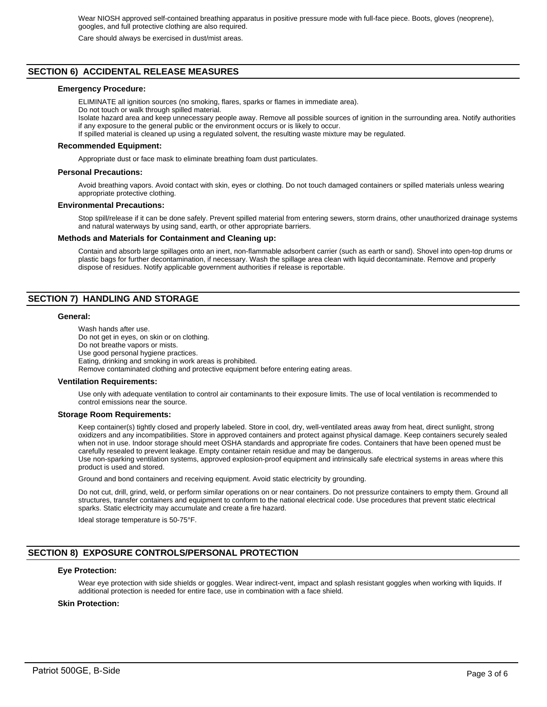Wear NIOSH approved self-contained breathing apparatus in positive pressure mode with full-face piece. Boots, gloves (neoprene), googles, and full protective clothing are also required.

Care should always be exercised in dust/mist areas.

# **SECTION 6) ACCIDENTAL RELEASE MEASURES**

#### **Emergency Procedure:**

ELIMINATE all ignition sources (no smoking, flares, sparks or flames in immediate area). Do not touch or walk through spilled material.

Isolate hazard area and keep unnecessary people away. Remove all possible sources of ignition in the surrounding area. Notify authorities if any exposure to the general public or the environment occurs or is likely to occur.

If spilled material is cleaned up using a regulated solvent, the resulting waste mixture may be regulated.

#### **Recommended Equipment:**

Appropriate dust or face mask to eliminate breathing foam dust particulates.

#### **Personal Precautions:**

Avoid breathing vapors. Avoid contact with skin, eyes or clothing. Do not touch damaged containers or spilled materials unless wearing appropriate protective clothing.

#### **Environmental Precautions:**

Stop spill/release if it can be done safely. Prevent spilled material from entering sewers, storm drains, other unauthorized drainage systems and natural waterways by using sand, earth, or other appropriate barriers.

#### **Methods and Materials for Containment and Cleaning up:**

Contain and absorb large spillages onto an inert, non-flammable adsorbent carrier (such as earth or sand). Shovel into open-top drums or plastic bags for further decontamination, if necessary. Wash the spillage area clean with liquid decontaminate. Remove and properly dispose of residues. Notify applicable government authorities if release is reportable.

# **SECTION 7) HANDLING AND STORAGE**

#### **General:**

Wash hands after use. Do not get in eyes, on skin or on clothing. Do not breathe vapors or mists. Use good personal hygiene practices. Eating, drinking and smoking in work areas is prohibited. Remove contaminated clothing and protective equipment before entering eating areas.

#### **Ventilation Requirements:**

Use only with adequate ventilation to control air contaminants to their exposure limits. The use of local ventilation is recommended to control emissions near the source.

#### **Storage Room Requirements:**

Keep container(s) tightly closed and properly labeled. Store in cool, dry, well-ventilated areas away from heat, direct sunlight, strong oxidizers and any incompatibilities. Store in approved containers and protect against physical damage. Keep containers securely sealed when not in use. Indoor storage should meet OSHA standards and appropriate fire codes. Containers that have been opened must be carefully resealed to prevent leakage. Empty container retain residue and may be dangerous. Use non-sparking ventilation systems, approved explosion-proof equipment and intrinsically safe electrical systems in areas where this

product is used and stored.

Ground and bond containers and receiving equipment. Avoid static electricity by grounding.

Do not cut, drill, grind, weld, or perform similar operations on or near containers. Do not pressurize containers to empty them. Ground all structures, transfer containers and equipment to conform to the national electrical code. Use procedures that prevent static electrical sparks. Static electricity may accumulate and create a fire hazard.

Ideal storage temperature is 50-75°F.

# **SECTION 8) EXPOSURE CONTROLS/PERSONAL PROTECTION**

#### **Eye Protection:**

Wear eye protection with side shields or goggles. Wear indirect-vent, impact and splash resistant goggles when working with liquids. If additional protection is needed for entire face, use in combination with a face shield.

## **Skin Protection:**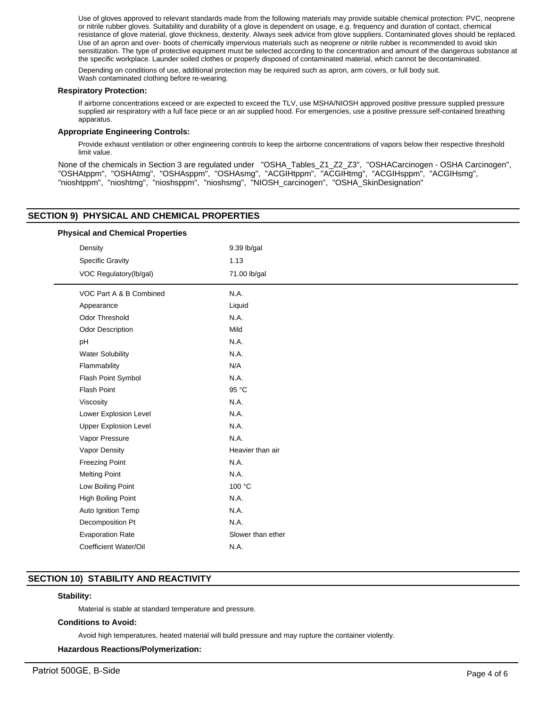Use of gloves approved to relevant standards made from the following materials may provide suitable chemical protection: PVC, neoprene or nitrile rubber gloves. Suitability and durability of a glove is dependent on usage, e.g. frequency and duration of contact, chemical resistance of glove material, glove thickness, dexterity. Always seek advice from glove suppliers. Contaminated gloves should be replaced. Use of an apron and over- boots of chemically impervious materials such as neoprene or nitrile rubber is recommended to avoid skin sensitization. The type of protective equipment must be selected according to the concentration and amount of the dangerous substance at the specific workplace. Launder soiled clothes or properly disposed of contaminated material, which cannot be decontaminated.

Depending on conditions of use, additional protection may be required such as apron, arm covers, or full body suit. Wash contaminated clothing before re-wearing.

#### **Respiratory Protection:**

If airborne concentrations exceed or are expected to exceed the TLV, use MSHA/NIOSH approved positive pressure supplied pressure supplied air respiratory with a full face piece or an air supplied hood. For emergencies, use a positive pressure self-contained breathing apparatus.

## **Appropriate Engineering Controls:**

Provide exhaust ventilation or other engineering controls to keep the airborne concentrations of vapors below their respective threshold limit value.

None of the chemicals in Section 3 are regulated under "OSHA\_Tables\_Z1\_Z2\_Z3", "OSHACarcinogen - OSHA Carcinogen", "OSHAtppm", "OSHAtmg", "OSHAsppm", "OSHAsmg", "ACGIHtppm", "ACGIHtmg", "ACGIHsppm", "ACGIHsmg", "nioshtppm", "nioshtmg", "nioshsppm", "nioshsmg", "NIOSH\_carcinogen", "OSHA\_SkinDesignation"

# **SECTION 9) PHYSICAL AND CHEMICAL PROPERTIES**

# VOC Part A & B Combined N.A. Appearance Liquid Odor Threshold N.A. Odor Description Mild pH  $N.A.$ Water Solubility N.A. Flammability N/A Flash Point Symbol N.A. Flash Point 95 °C Viscosity N.A. Lower Explosion Level N.A. Upper Explosion Level N.A. Vapor Pressure N.A. Vapor Density **Heavier than air** Freezing Point N.A. Melting Point N.A. Low Boiling Point 100 °C High Boiling Point N.A. Auto Ignition Temp N.A. Decomposition Pt N.A. Evaporation Rate Slower than ether Coefficient Water/Oil N.A. **Physical and Chemical Properties** Density 9.39 lb/gal Specific Gravity 1.13 VOC Regulatory(lb/gal) 71.00 lb/gal

# **SECTION 10) STABILITY AND REACTIVITY**

## **Stability:**

Material is stable at standard temperature and pressure.

## **Conditions to Avoid:**

Avoid high temperatures, heated material will build pressure and may rupture the container violently.

## **Hazardous Reactions/Polymerization:**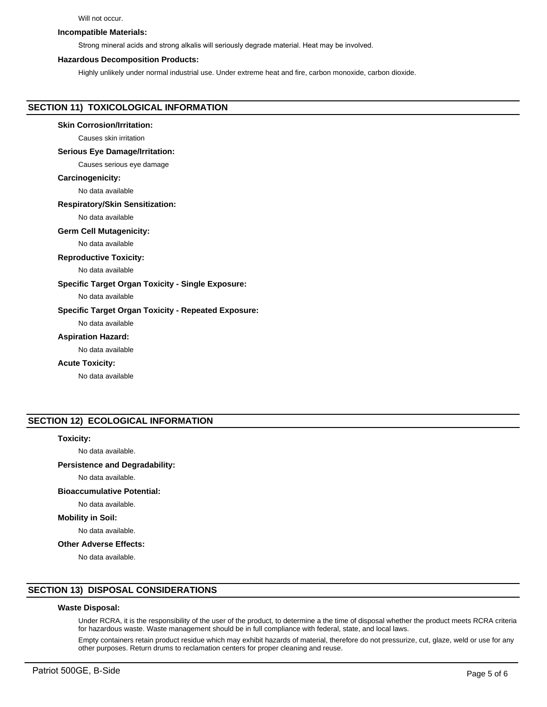#### Will not occur.

## **Incompatible Materials:**

Strong mineral acids and strong alkalis will seriously degrade material. Heat may be involved.

#### **Hazardous Decomposition Products:**

Highly unlikely under normal industrial use. Under extreme heat and fire, carbon monoxide, carbon dioxide.

# **SECTION 11) TOXICOLOGICAL INFORMATION**

## **Skin Corrosion/Irritation:**

Causes skin irritation

## **Serious Eye Damage/Irritation:**

Causes serious eye damage

#### **Carcinogenicity:**

No data available

#### **Respiratory/Skin Sensitization:**

No data available

#### **Germ Cell Mutagenicity:**

No data available

#### **Reproductive Toxicity:**

No data available

## **Specific Target Organ Toxicity - Single Exposure:**

No data available

## **Specific Target Organ Toxicity - Repeated Exposure:**

No data available

#### **Aspiration Hazard:**

No data available

#### **Acute Toxicity:**

No data available

# **SECTION 12) ECOLOGICAL INFORMATION**

## **Toxicity:**

No data available.

# **Persistence and Degradability:**

No data available.

# **Bioaccumulative Potential:**

No data available.

#### **Mobility in Soil:**

No data available.

## **Other Adverse Effects:**

No data available.

# **SECTION 13) DISPOSAL CONSIDERATIONS**

## **Waste Disposal:**

Under RCRA, it is the responsibility of the user of the product, to determine a the time of disposal whether the product meets RCRA criteria for hazardous waste. Waste management should be in full compliance with federal, state, and local laws.

Empty containers retain product residue which may exhibit hazards of material, therefore do not pressurize, cut, glaze, weld or use for any other purposes. Return drums to reclamation centers for proper cleaning and reuse.